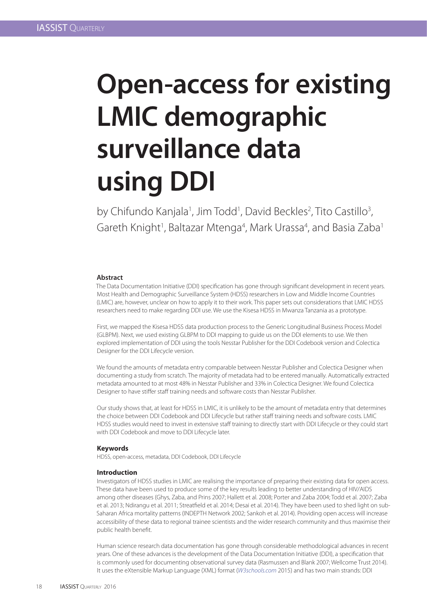# **Open-access for existing LMIC demographic surveillance data using DDI**

by Chifundo Kanjala<sup>1</sup>, Jim Todd<sup>1</sup>, David Beckles<sup>2</sup>, Tito Castillo<sup>3</sup>, Gareth Knight<sup>1</sup>, Baltazar Mtenga<sup>4</sup>, Mark Urassa<sup>4</sup>, and Basia Zaba<sup>1</sup>

## **Abstract**

The Data Documentation Initiative (DDI) specification has gone through significant development in recent years. Most Health and Demographic Surveillance System (HDSS) researchers in Low and Middle Income Countries (LMIC) are, however, unclear on how to apply it to their work. This paper sets out considerations that LMIC HDSS researchers need to make regarding DDI use. We use the Kisesa HDSS in Mwanza Tanzania as a prototype.

First, we mapped the Kisesa HDSS data production process to the Generic Longitudinal Business Process Model (GLBPM). Next, we used existing GLBPM to DDI mapping to guide us on the DDI elements to use. We then explored implementation of DDI using the tools Nesstar Publisher for the DDI Codebook version and Colectica Designer for the DDI Lifecycle version.

We found the amounts of metadata entry comparable between Nesstar Publisher and Colectica Designer when documenting a study from scratch. The majority of metadata had to be entered manually. Automatically extracted metadata amounted to at most 48% in Nesstar Publisher and 33% in Colectica Designer. We found Colectica Designer to have stiffer staff training needs and software costs than Nesstar Publisher.

Our study shows that, at least for HDSS in LMIC, it is unlikely to be the amount of metadata entry that determines the choice between DDI Codebook and DDI Lifecycle but rather staff training needs and software costs. LMIC HDSS studies would need to invest in extensive staff training to directly start with DDI Lifecycle or they could start with DDI Codebook and move to DDI Lifecycle later.

## **Keywords**

HDSS, open-access, metadata, DDI Codebook, DDI Lifecycle

## **Introduction**

Investigators of HDSS studies in LMIC are realising the importance of preparing their existing data for open access. These data have been used to produce some of the key results leading to better understanding of HIV/AIDS among other diseases (Ghys, Zaba, and Prins 2007; Hallett et al. 2008; Porter and Zaba 2004; Todd et al. 2007; Zaba et al. 2013; Ndirangu et al. 2011; Streatfield et al. 2014; Desai et al. 2014). They have been used to shed light on sub-Saharan Africa mortality patterns (INDEPTH Network 2002; Sankoh et al. 2014). Providing open access will increase accessibility of these data to regional trainee scientists and the wider research community and thus maximise their public health benefit.

Human science research data documentation has gone through considerable methodological advances in recent years. One of these advances is the development of the Data Documentation Initiative (DDI), a specification that is commonly used for documenting observational survey data (Rasmussen and Blank 2007; Wellcome Trust 2014). It uses the eXtensible Markup Language (XML) format (*W3schools.com* 2015) and has two main strands: DDI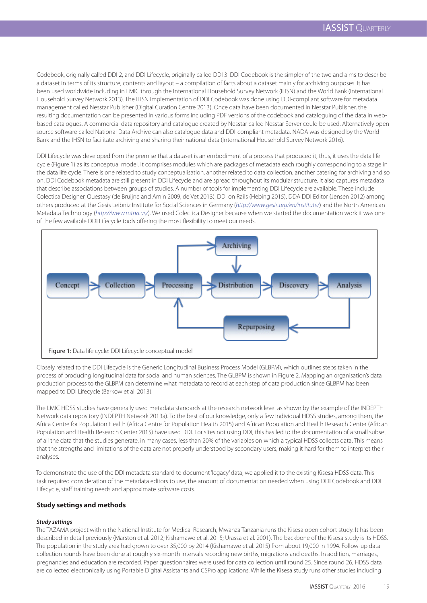Codebook, originally called DDI 2, and DDI Lifecycle, originally called DDI 3. DDI Codebook is the simpler of the two and aims to describe a dataset in terms of its structure, contents and layout – a compilation of facts about a dataset mainly for archiving purposes. It has been used worldwide including in LMIC through the International Household Survey Network (IHSN) and the World Bank (International Household Survey Network 2013). The IHSN implementation of DDI Codebook was done using DDI-compliant software for metadata management called Nesstar Publisher (Digital Curation Centre 2013). Once data have been documented in Nesstar Publisher, the resulting documentation can be presented in various forms including PDF versions of the codebook and cataloguing of the data in webbased catalogues. A commercial data repository and catalogue created by Nesstar called Nesstar Server could be used. Alternatively open source software called National Data Archive can also catalogue data and DDI-compliant metadata. NADA was designed by the World Bank and the IHSN to facilitate archiving and sharing their national data (International Household Survey Network 2016).

DDI Lifecycle was developed from the premise that a dataset is an embodiment of a process that produced it, thus, it uses the data life cycle (Figure 1) as its conceptual model. It comprises modules which are packages of metadata each roughly corresponding to a stage in the data life cycle. There is one related to study conceptualisation, another related to data collection, another catering for archiving and so on. DDI Codebook metadata are still present in DDI Lifecycle and are spread throughout its modular structure. It also captures metadata that describe associations between groups of studies. A number of tools for implementing DDI Lifecycle are available. These include Colectica Designer, Questasy (de Bruijne and Amin 2009; de Vet 2013), DDI on Rails (Hebing 2015), DDA DDI Editor (Jensen 2012) among others produced at the Gesis Leibniz Institute for Social Sciences in Germany (*http://www.gesis.org/en/institute/*) and the North American Metadata Technology (*http://www.mtna.us/*). We used Colectica Designer because when we started the documentation work it was one of the few available DDI Lifecycle tools offering the most flexibility to meet our needs.



Closely related to the DDI Lifecycle is the Generic Longitudinal Business Process Model (GLBPM), which outlines steps taken in the process of producing longitudinal data for social and human sciences. The GLBPM is shown in Figure 2. Mapping an organisation's data production process to the GLBPM can determine what metadata to record at each step of data production since GLBPM has been mapped to DDI Lifecycle (Barkow et al. 2013).

The LMIC HDSS studies have generally used metadata standards at the research network level as shown by the example of the INDEPTH Network data repository (INDEPTH Network 2013a). To the best of our knowledge, only a few individual HDSS studies, among them, the Africa Centre for Population Health (Africa Centre for Population Health 2015) and African Population and Health Research Center (African Population and Health Research Center 2015) have used DDI. For sites not using DDI, this has led to the documentation of a small subset of all the data that the studies generate, in many cases, less than 20% of the variables on which a typical HDSS collects data. This means that the strengths and limitations of the data are not properly understood by secondary users, making it hard for them to interpret their analyses.

To demonstrate the use of the DDI metadata standard to document 'legacy' data, we applied it to the existing Kisesa HDSS data. This task required consideration of the metadata editors to use, the amount of documentation needed when using DDI Codebook and DDI Lifecycle, staff training needs and approximate software costs.

## **Study settings and methods**

## *Study settings*

The TAZAMA project within the National Institute for Medical Research, Mwanza Tanzania runs the Kisesa open cohort study. It has been described in detail previously (Marston et al. 2012; Kishamawe et al. 2015; Urassa et al. 2001). The backbone of the Kisesa study is its HDSS. The population in the study area had grown to over 35,000 by 2014 (Kishamawe et al. 2015) from about 19,000 in 1994. Follow-up data collection rounds have been done at roughly six-month intervals recording new births, migrations and deaths. In addition, marriages, pregnancies and education are recorded. Paper questionnaires were used for data collection until round 25. Since round 26, HDSS data are collected electronically using Portable Digital Assistants and CSPro applications. While the Kisesa study runs other studies including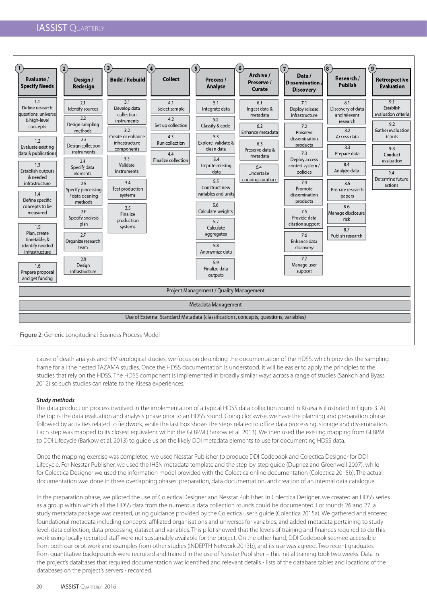## **IASSIST QUARTERLY**



Figure 2: Generic Longitudinal Business Process Model

cause of death analysis and HIV serological studies, we focus on describing the documentation of the HDSS, which provides the sampling frame for all the nested TAZAMA studies. Once the HDSS documentation is understood, it will be easier to apply the principles to the studies that rely on the HDSS. The HDSS component is implemented in broadly similar ways across a range of studies (Sankoh and Byass 2012) so such studies can relate to the Kisesa experiences.

## *Study methods*

The data production process involved in the implementation of a typical HDSS data collection round in Kisesa is illustrated in Figure 3. At the top is the data evaluation and analysis phase prior to an HDSS round. Going clockwise, we have the planning and preparation phase followed by activities related to fieldwork, while the last box shows the steps related to office data processing, storage and dissemination. Each step was mapped to its closest equivalent within the GLBPM (Barkow et al. 2013). We then used the existing mapping from GLBPM to DDI Lifecycle (Barkow et al. 2013) to guide us on the likely DDI metadata elements to use for documenting HDSS data.

Once the mapping exercise was completed, we used Nesstar Publisher to produce DDI Codebook and Colectica Designer for DDI Lifecycle. For Nesstar Publisher, we used the IHSN metadata template and the step-by-step guide (Dupriez and Greenwell 2007), while for Colectica Designer we used the information model provided with the Colectica online documentation (Colectica 2015b). The actual documentation was done in three overlapping phases: preparation, data documentation, and creation of an internal data catalogue.

In the preparation phase, we piloted the use of Colectica Designer and Nesstar Publisher. In Colectica Designer, we created an HDSS series as a group within which all the HDSS data from the numerous data collection rounds could be documented. For rounds 26 and 27, a study metadata package was created, using guidance provided by the Colectica user's guide (Colectica 2015a). We gathered and entered foundational metadata including concepts, affiliated organisations and universes for variables, and added metadata pertaining to studylevel, data collection, data processing, dataset and variables. This pilot showed that the levels of training and finances required to do this work using locally recruited staff were not sustainably available for the project. On the other hand, DDI Codebook seemed accessible from both our pilot work and examples from other studies (INDEPTH Network 2013b), and its use was agreed. Two recent graduates from quantitative backgrounds were recruited and trained in the use of Nesstar Publisher – this initial training took two weeks. Data in the project's databases that required documentation was identified and relevant details - lists of the database tables and locations of the databases on the project's servers - recorded.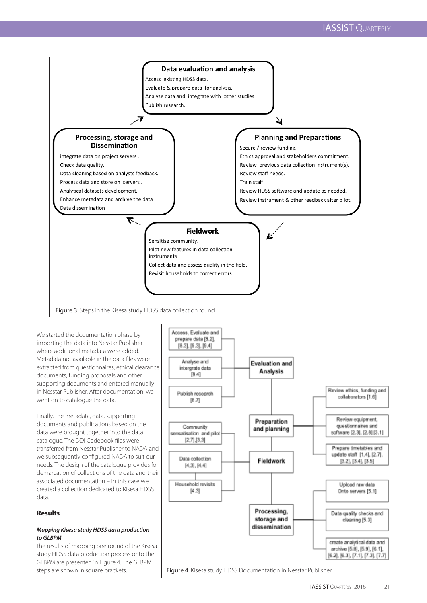

We started the documentation phase by importing the data into Nesstar Publisher where additional metadata were added. Metadata not available in the data files were extracted from questionnaires, ethical clearance documents, funding proposals and other supporting documents and entered manually in Nesstar Publisher. After documentation, we went on to catalogue the data.

Finally, the metadata, data, supporting documents and publications based on the data were brought together into the data catalogue. The DDI Codebook files were transferred from Nesstar Publisher to NADA and we subsequently configured NADA to suit our needs. The design of the catalogue provides for demarcation of collections of the data and their associated documentation – in this case we created a collection dedicated to Kisesa HDSS data.

## **Results**

## *Mapping Kisesa study HDSS data production to GLBPM*

The results of mapping one round of the Kisesa study HDSS data production process onto the GLBPM are presented in Figure 4. The GLBPM steps are shown in square brackets. Figure 4: Kisesa study HDSS Documentation in Nesstar Publisher

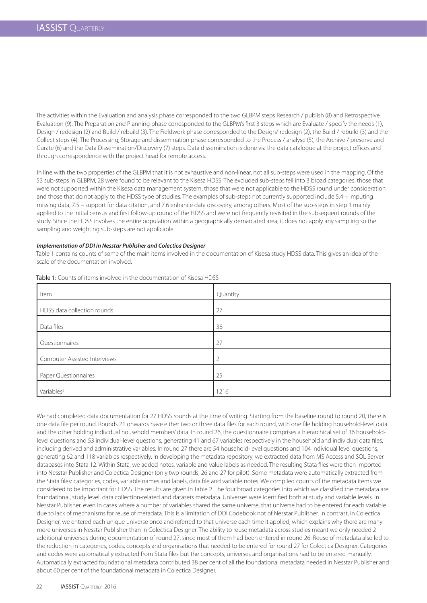The activities within the Evaluation and analysis phase corresponded to the two GLBPM steps Research / publish (8) and Retrospective Evaluation (9). The Preparation and Planning phase corresponded to the GLBPM's first 3 steps which are Evaluate / specify the needs (1), Design / redesign (2) and Build / rebuild (3). The Fieldwork phase corresponded to the Design/ redesign (2), the Build / rebuild (3) and the Collect steps (4). The Processing, Storage and dissemination phase corresponded to the Process / analyse (5), the Archive / preserve and Curate (6) and the Data Dissemination/Discovery (7) steps. Data dissemination is done via the data catalogue at the project offices and through correspondence with the project head for remote access.

In line with the two properties of the GLBPM that it is not exhaustive and non-linear, not all sub-steps were used in the mapping. Of the 53 sub-steps in GLBPM, 28 were found to be relevant to the Kisesa HDSS. The excluded sub-steps fell into 3 broad categories: those that were not supported within the Kisesa data management system, those that were not applicable to the HDSS round under consideration and those that do not apply to the HDSS type of studies. The examples of sub-steps not currently supported include 5.4 – imputing missing data, 7.5 – support for data citation, and 7.6 enhance data discovery, among others. Most of the sub-steps in step 1 mainly applied to the initial census and first follow-up round of the HDSS and were not frequently revisited in the subsequent rounds of the study. Since the HDSS involves the entire population within a geographically demarcated area, it does not apply any sampling so the sampling and weighting sub-steps are not applicable.

#### *Implementation of DDI in Nesstar Publisher and Colectica Designer*

Table 1 contains counts of some of the main items involved in the documentation of Kisesa study HDSS data. This gives an idea of the scale of the documentation involved.

| Item                         | Quantity       |
|------------------------------|----------------|
| HDSS data collection rounds  | 27             |
| Data files                   | 38             |
| Questionnaires               | 27             |
| Computer Assisted Interviews | $\overline{2}$ |
| Paper Questionnaires         | 25             |
| Variables <sup>5</sup>       | 1216           |

Table 1: Counts of items involved in the documentation of Kisesa HDSS

We had completed data documentation for 27 HDSS rounds at the time of writing. Starting from the baseline round to round 20, there is one data file per round. Rounds 21 onwards have either two or three data files for each round, with one file holding household-level data and the other holding individual household members' data. In round 26, the questionnaire comprises a hierarchical set of 36 householdlevel questions and 53 individual-level questions, generating 41 and 67 variables respectively in the household and individual data files, including derived and administrative variables. In round 27 there are 54 household-level questions and 104 individual level questions, generating 62 and 118 variables respectively. In developing the metadata repository, we extracted data from MS Access and SQL Server databases into Stata 12. Within Stata, we added notes, variable and value labels as needed. The resulting Stata files were then imported into Nesstar Publisher and Colectica Designer (only two rounds, 26 and 27 for pilot). Some metadata were automatically extracted from the Stata files: categories, codes, variable names and labels, data file and variable notes. We compiled counts of the metadata items we considered to be important for HDSS. The results are given in Table 2. The four broad categories into which we classified the metadata are foundational, study level, data collection-related and datasets metadata. Universes were identified both at study and variable levels. In Nesstar Publisher, even in cases where a number of variables shared the same universe, that universe had to be entered for each variable due to lack of mechanisms for reuse of metadata. This is a limitation of DDI Codebook not of Nesstar Publisher. In contrast, in Colectica Designer, we entered each unique universe once and referred to that universe each time it applied, which explains why there are many more universes in Nesstar Publisher than in Colectica Designer. The ability to reuse metadata across studies meant we only needed 2 additional universes during documentation of round 27, since most of them had been entered in round 26. Reuse of metadata also led to the reduction in categories, codes, concepts and organisations that needed to be entered for round 27 for Colectica Designer. Categories and codes were automatically extracted from Stata files but the concepts, universes and organisations had to be entered manually. Automatically extracted foundational metadata contributed 38 per cent of all the foundational metadata needed in Nesstar Publisher and about 60 per cent of the foundational metadata in Colectica Designer.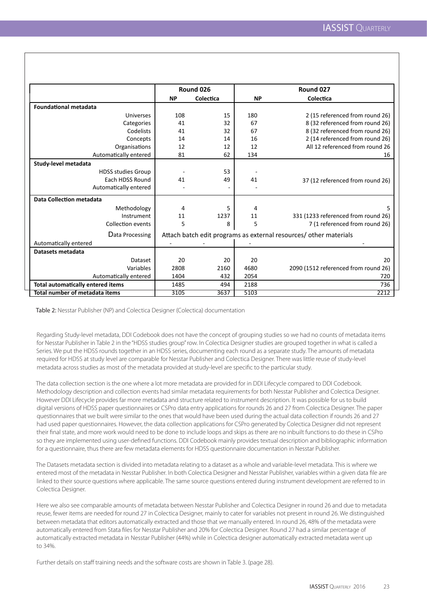|                                          | Round 026                                                         |           | Round 027 |                                      |
|------------------------------------------|-------------------------------------------------------------------|-----------|-----------|--------------------------------------|
|                                          | <b>NP</b>                                                         | Colectica | <b>NP</b> | Colectica                            |
| <b>Foundational metadata</b>             |                                                                   |           |           |                                      |
| <b>Universes</b>                         | 108                                                               | 15        | 180       | 2 (15 referenced from round 26)      |
| Categories                               | 41                                                                | 32        | 67        | 8 (32 referenced from round 26)      |
| Codelists                                | 41                                                                | 32        | 67        | 8 (32 referenced from round 26)      |
| Concepts                                 | 14                                                                | 14        | 16        | 2 (14 referenced from round 26)      |
| Organisations                            | 12                                                                | 12        | 12        | All 12 referenced from round 26      |
| Automatically entered                    | 81                                                                | 62        | 134       | 16                                   |
| Study-level metadata                     |                                                                   |           |           |                                      |
| <b>HDSS studies Group</b>                |                                                                   | 53        |           |                                      |
| Each HDSS Round                          | 41                                                                | 49        | 41        | 37 (12 referenced from round 26)     |
| Automatically entered                    |                                                                   |           |           |                                      |
| Data Collection metadata                 |                                                                   |           |           |                                      |
| Methodology                              | 4                                                                 | 5         | 4         | 5                                    |
| Instrument                               | 11                                                                | 1237      | 11        | 331 (1233 referenced from round 26)  |
| <b>Collection events</b>                 | 5                                                                 | 8         | 5         | 7 (1 referenced from round 26)       |
| Data Processing                          | Attach batch edit programs as external resources/ other materials |           |           |                                      |
| Automatically entered                    |                                                                   |           |           |                                      |
| Datasets metadata                        |                                                                   |           |           |                                      |
| Dataset                                  | 20                                                                | 20        | 20        | 20                                   |
| Variables                                | 2808                                                              | 2160      | 4680      | 2090 (1512 referenced from round 26) |
| Automatically entered                    | 1404                                                              | 432       | 2054      | 720                                  |
| <b>Total automatically entered items</b> | 1485                                                              | 494       | 2188      | 736                                  |
| Total number of metadata items           | 3105                                                              | 3637      | 5103      | 2212                                 |

Table 2: Nesstar Publisher (NP) and Colectica Designer (Colectica) documentation

Regarding Study-level metadata, DDI Codebook does not have the concept of grouping studies so we had no counts of metadata items for Nesstar Publisher in Table 2 in the "HDSS studies group" row. In Colectica Designer studies are grouped together in what is called a Series. We put the HDSS rounds together in an HDSS series, documenting each round as a separate study. The amounts of metadata required for HDSS at study level are comparable for Nesstar Publisher and Colectica Designer. There was little reuse of study-level metadata across studies as most of the metadata provided at study-level are specific to the particular study.

The data collection section is the one where a lot more metadata are provided for in DDI Lifecycle compared to DDI Codebook. Methodology description and collection events had similar metadata requirements for both Nesstar Publisher and Colectica Designer. However DDI Lifecycle provides far more metadata and structure related to instrument description. It was possible for us to build digital versions of HDSS paper questionnaires or CSPro data entry applications for rounds 26 and 27 from Colectica Designer. The paper questionnaires that we built were similar to the ones that would have been used during the actual data collection if rounds 26 and 27 had used paper questionnaires. However, the data collection applications for CSPro generated by Colectica Designer did not represent their final state, and more work would need to be done to include loops and skips as there are no inbuilt functions to do these in CSPro so they are implemented using user-defined functions. DDI Codebook mainly provides textual description and bibliographic information for a questionnaire, thus there are few metadata elements for HDSS questionnaire documentation in Nesstar Publisher.

The Datasets metadata section is divided into metadata relating to a dataset as a whole and variable-level metadata. This is where we entered most of the metadata in Nesstar Publisher. In both Colectica Designer and Nesstar Publisher, variables within a given data file are linked to their source questions where applicable. The same source questions entered during instrument development are referred to in Colectica Designer.

Here we also see comparable amounts of metadata between Nesstar Publisher and Colectica Designer in round 26 and due to metadata reuse, fewer items are needed for round 27 in Colectica Designer, mainly to cater for variables not present in round 26. We distinguished between metadata that editors automatically extracted and those that we manually entered. In round 26, 48% of the metadata were automatically entered from Stata files for Nesstar Publisher and 20% for Colectica Designer. Round 27 had a similar percentage of automatically extracted metadata in Nesstar Publisher (44%) while in Colectica designer automatically extracted metadata went up to 34%.

Further details on staff training needs and the software costs are shown in Table 3. (page 28).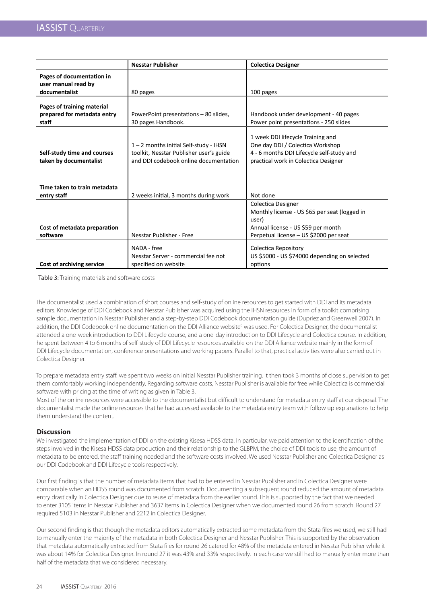|                                                                    | <b>Nesstar Publisher</b>                                                                                                   | <b>Colectica Designer</b>                                                                                                                                  |
|--------------------------------------------------------------------|----------------------------------------------------------------------------------------------------------------------------|------------------------------------------------------------------------------------------------------------------------------------------------------------|
| Pages of documentation in<br>user manual read by                   |                                                                                                                            |                                                                                                                                                            |
| documentalist                                                      | 80 pages                                                                                                                   | 100 pages                                                                                                                                                  |
| Pages of training material<br>prepared for metadata entry<br>staff | PowerPoint presentations - 80 slides,<br>30 pages Handbook.                                                                | Handbook under development - 40 pages<br>Power point presentations - 250 slides                                                                            |
| Self-study time and courses<br>taken by documentalist              | 1 - 2 months initial Self-study - IHSN<br>toolkit, Nesstar Publisher user's guide<br>and DDI codebook online documentation | 1 week DDI lifecycle Training and<br>One day DDI / Colectica Workshop<br>4 - 6 months DDI Lifecycle self-study and<br>practical work in Colectica Designer |
| Time taken to train metadata                                       |                                                                                                                            |                                                                                                                                                            |
| entry staff                                                        | 2 weeks initial, 3 months during work                                                                                      | Not done                                                                                                                                                   |
|                                                                    |                                                                                                                            | Colectica Designer<br>Monthly license - US \$65 per seat (logged in<br>user)                                                                               |
| Cost of metadata preparation                                       |                                                                                                                            | Annual license - US \$59 per month                                                                                                                         |
| software                                                           | Nesstar Publisher - Free                                                                                                   | Perpetual license - US \$2000 per seat                                                                                                                     |
| Cost of archiving service                                          | NADA - free<br>Nesstar Server - commercial fee not<br>specified on website                                                 | Colectica Repository<br>US \$5000 - US \$74000 depending on selected<br>options                                                                            |

Table 3: Training materials and software costs

The documentalist used a combination of short courses and self-study of online resources to get started with DDI and its metadata editors. Knowledge of DDI Codebook and Nesstar Publisher was acquired using the IHSN resources in form of a toolkit comprising sample documentation in Nesstar Publisher and a step-by-step DDI Codebook documentation guide (Dupriez and Greenwell 2007). In addition, the DDI Codebook online documentation on the DDI Alliance website<sup>6</sup> was used. For Colectica Designer, the documentalist attended a one-week introduction to DDI Lifecycle course, and a one-day introduction to DDI Lifecycle and Colectica course. In addition, he spent between 4 to 6 months of self-study of DDI Lifecycle resources available on the DDI Alliance website mainly in the form of DDI Lifecycle documentation, conference presentations and working papers. Parallel to that, practical activities were also carried out in Colectica Designer.

To prepare metadata entry staff, we spent two weeks on initial Nesstar Publisher training. It then took 3 months of close supervision to get them comfortably working independently. Regarding software costs, Nesstar Publisher is available for free while Colectica is commercial software with pricing at the time of writing as given in Table 3.

Most of the online resources were accessible to the documentalist but difficult to understand for metadata entry staff at our disposal. The documentalist made the online resources that he had accessed available to the metadata entry team with follow up explanations to help them understand the content.

## **Discussion**

We investigated the implementation of DDI on the existing Kisesa HDSS data. In particular, we paid attention to the identification of the steps involved in the Kisesa HDSS data production and their relationship to the GLBPM, the choice of DDI tools to use, the amount of metadata to be entered, the staff training needed and the software costs involved. We used Nesstar Publisher and Colectica Designer as our DDI Codebook and DDI Lifecycle tools respectively.

Our first finding is that the number of metadata items that had to be entered in Nesstar Publisher and in Colectica Designer were comparable when an HDSS round was documented from scratch. Documenting a subsequent round reduced the amount of metadata entry drastically in Colectica Designer due to reuse of metadata from the earlier round. This is supported by the fact that we needed to enter 3105 items in Nesstar Publisher and 3637 items in Colectica Designer when we documented round 26 from scratch. Round 27 required 5103 in Nesstar Publisher and 2212 in Colectica Designer.

Our second finding is that though the metadata editors automatically extracted some metadata from the Stata files we used, we still had to manually enter the majority of the metadata in both Colectica Designer and Nesstar Publisher. This is supported by the observation that metadata automatically extracted from Stata files for round 26 catered for 48% of the metadata entered in Nesstar Publisher while it was about 14% for Colectica Designer. In round 27 it was 43% and 33% respectively. In each case we still had to manually enter more than half of the metadata that we considered necessary.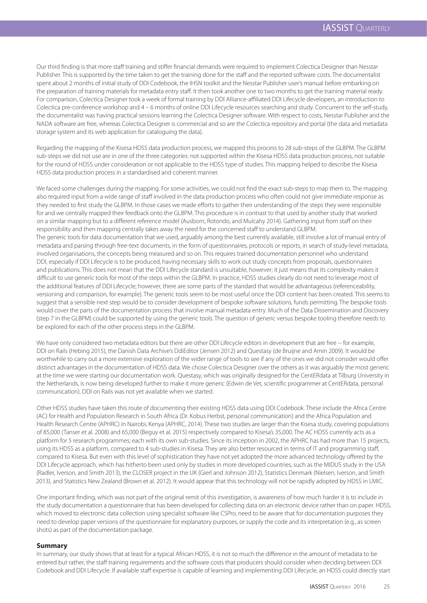Our third finding is that more staff training and stiffer financial demands were required to implement Colectica Designer than Nesstar Publisher. This is supported by the time taken to get the training done for the staff and the reported software costs. The documentalist spent about 2 months of initial study of DDI Codebook, the IHSN toolkit and the Nesstar Publisher user's manual before embarking on the preparation of training materials for metadata entry staff. It then took another one to two months to get the training material ready. For comparison, Colectica Designer took a week of formal training by DDI Alliance-affiliated DDI Lifecycle developers, an introduction to Colectica pre-conference workshop and 4 – 6 months of online DDI Lifecycle resources searching and study. Concurrent to the self-study, the documentalist was having practical sessions learning the Colectica Designer software. With respect to costs, Nesstar Publisher and the NADA software are free, whereas Colectica Designer is commercial and so are the Colectica repository and portal (the data and metadata storage system and its web application for cataloguing the data).

Regarding the mapping of the Kisesa HDSS data production process, we mapped this process to 28 sub-steps of the GLBPM. The GLBPM sub-steps we did not use are in one of the three categories: not supported within the Kisesa HDSS data production process, not suitable for the round of HDSS under consideration or not applicable to the HDSS type of studies. This mapping helped to describe the Kisesa HDSS data production process in a standardised and coherent manner.

We faced some challenges during the mapping. For some activities, we could not find the exact sub-steps to map them to. The mapping also required input from a wide range of staff involved in the data production process who often could not give immediate response as they needed to first study the GLBPM. In those cases we made efforts to gather their understanding of the steps they were responsible for and we centrally mapped their feedback onto the GLBPM. This procedure is in contrast to that used by another study that worked on a similar mapping but to a different reference model (Ausborn, Rotondo, and Mulcahy 2014). Gathering input from staff on their responsibility and then mapping centrally takes away the need for the concerned staff to understand GLBPM. The generic tools for data documentation that we used, arguably among the best currently available, still involve a lot of manual entry of metadata and parsing through free-text documents, in the form of questionnaires, protocols or reports, in search of study-level metadata, involved organisations, the concepts being measured and so on. This requires trained documentation personnel who understand DDI, especially if DDI Lifecycle is to be produced, having necessary skills to work out study concepts from proposals, questionnaires and publications. This does not mean that the DDI Lifecycle standard is unsuitable, however; it just means that its complexity makes it difficult to use generic tools for most of the steps within the GLBPM. In practice, HDSS studies clearly do not need to leverage most of the additional features of DDI Lifecycle; however, there are some parts of the standard that would be advantageous (referenceability, versioning and comparison, for example). The generic tools seem to be most useful once the DDI content has been created. This seems to suggest that a sensible next step would be to consider development of bespoke software solutions, funds permitting. The bespoke tools would cover the parts of the documentation process that involve manual metadata entry. Much of the Data Dissemination and Discovery (step 7 in the GLBPM) could be supported by using the generic tools. The question of generic versus bespoke tooling therefore needs to be explored for each of the other process steps in the GLBPM.

We have only considered two metadata editors but there are other DDI Lifecycle editors in development that are free -- for example, DDI on Rails (Hebing 2015), the Danish Data Archive's DdiEditor (Jensen 2012) and Questasy (de Bruijne and Amin 2009). It would be worthwhile to carry out a more extensive exploration of the wider range of tools to see if any of the ones we did not consider would offer distinct advantages in the documentation of HDSS data. We chose Colectica Designer over the others as it was arguably the most generic at the time we were starting our documentation work. Questasy, which was originally designed for the CentERdata at Tilburg University in the Netherlands, is now being developed further to make it more generic (Edwin de Vet, scientific programmer at CentERdata, personal communication). DDI on Rails was not yet available when we started.

Other HDSS studies have taken this route of documenting their existing HDSS data using DDI Codebook. These include the Africa Centre (AC) for Health and Population Research in South Africa (Dr. Kobus Herbst, personal communication) and the Africa Population and Health Research Centre (APHRC) in Nairobi, Kenya (APHRC, 2014). These two studies are larger than the Kisesa study, covering populations of 85,000 (Tanser et al. 2008) and 65,000 (Beguy et al. 2015) respectively compared to Kisesa's 35,000. The AC HDSS currently acts as a platform for 5 research programmes; each with its own sub-studies. Since its inception in 2002, the APHRC has had more than 15 projects, using its HDSS as a platform, compared to 4 sub-studies in Kisesa. They are also better resourced in terms of IT and programming staff, compared to Kisesa. But even with this level of sophistication they have not yet adopted the more advanced technology offered by the DDI Lifecycle approach, which has hitherto been used only by studies in more developed countries, such as the MIDUS study in the USA (Radler, Iverson, and Smith 2013), the CLOSER project in the UK (Gierl and Johnson 2012), Statistics Denmark (Nielsen, Iverson, and Smith 2013), and Statistics New Zealand (Brown et al. 2012). It would appear that this technology will not be rapidly adopted by HDSS in LMIC.

One important finding, which was not part of the original remit of this investigation, is awareness of how much harder it is to include in the study documentation a questionnaire that has been developed for collecting data on an electronic device rather than on paper. HDSS, which moved to electronic data collection using specialist software like CSPro, need to be aware that for documentation purposes they need to develop paper versions of the questionnaire for explanatory purposes, or supply the code and its interpretation (e.g., as screen shots) as part of the documentation package.

## **Summary**

In summary, our study shows that at least for a typical African HDSS, it is not so much the difference in the amount of metadata to be entered but rather, the staff training requirements and the software costs that producers should consider when deciding between DDI Codebook and DDI Lifecycle. If available staff expertise is capable of learning and implementing DDI Lifecycle, an HDSS could directly start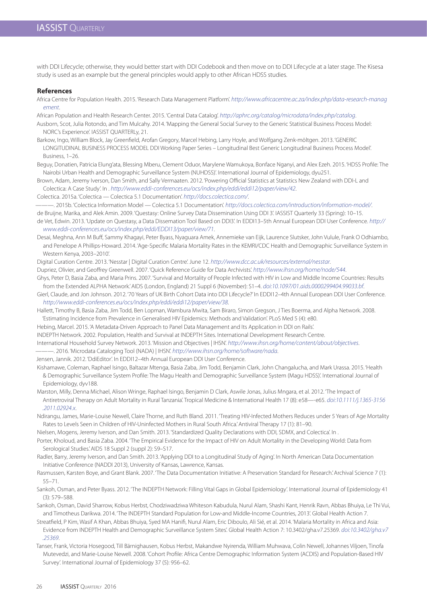with DDI Lifecycle; otherwise, they would better start with DDI Codebook and then move on to DDI Lifecycle at a later stage. The Kisesa study is used as an example but the general principles would apply to other African HDSS studies.

#### **References**

Africa Centre for Population Health. 2015. 'Research Data Management Platform'. *http://www.africacentre.ac.za/index.php/data-research-manag ement*.

African Population and Health Research Center. 2015. 'Central Data Catalog'. *http://aphrc.org/catalog/microdata/index.php/catalog*.

- Ausborn, Scot, Julia Rotondo, and Tim Mulcahy. 2014. 'Mapping the General Social Survey to the Generic Statistical Business Process Model: NORC's Experience'. IASSIST QUARTERLy, 21.
- Barkow, Ingo, William Block, Jay Greenfield, Arofan Gregory, Marcel Hebing, Larry Hoyle, and Wolfgang Zenk-möltgen. 2013. 'GENERIC LONGITUDINAL BUSINESS PROCESS MODEL DDI Working Paper Series - Longitudinal Best Generic Longitudinal Business Process Model'. Business, 1–26.
- Beguy, Donatien, Patricia Elung'ata, Blessing Mberu, Clement Oduor, Marylene Wamukoya, Bonface Nganyi, and Alex Ezeh. 2015. 'HDSS Profile: The Nairobi Urban Health and Demographic Surveillance System (NUHDSS)'. International Journal of Epidemiology, dyu251.
- Brown, Adam, Jeremy Iverson, Dan Smith, and Sally Vermaaten. 2012. 'Powering Official Statistics at Statistics New Zealand with DDI-L and Colectica: A Case Study'. In . *http://www.eddi-conferences.eu/ocs/index.php/eddi/eddi12/paper/view/42*.

Colectica. 2015a. 'Colectica — Colectica 5.1 Documentation'. *http://docs.colectica.com/*.

———. 2015b. 'Colectica Information Model — Colectica 5.1 Documentation'. *http://docs.colectica.com/introduction/information-model/*.

de Bruijne, Marika, and Alek Amin. 2009. 'Questasy: Online Survey Data Dissemination Using DDI 3'. IASSIST Quarterly 33 (Spring): 10–15.

de Vet, Edwin. 2013. 'Update on Questasy, a Data Dissemation Tool Based on DDI3'. In EDDI13–5th Annual European DDI User Conference. *http:// www.eddi-conferences.eu/ocs/index.php/eddi/EDDI13/paper/view/71*.

Desai, Meghna, Ann M Buff, Sammy Khagayi, Peter Byass, Nyaguara Amek, Annemieke van Eijk, Laurence Slutsker, John Vulule, Frank O Odhiambo, and Penelope A Phillips-Howard. 2014. 'Age-Specific Malaria Mortality Rates in the KEMRI/CDC Health and Demographic Surveillance System in Western Kenya, 2003–2010'.

Digital Curation Centre. 2013. 'Nesstar | Digital Curation Centre'. June 12. *http://www.dcc.ac.uk/resources/external/nesstar*.

Dupriez, Olivier, and Geoffrey Greenwell. 2007. 'Quick Reference Guide for Data Archivists'. *http://www.ihsn.org/home/node/544*.

Ghys, Peter D, Basia Zaba, and Maria Prins. 2007. 'Survival and Mortality of People Infected with HIV in Low and Middle Income Countries: Results from the Extended ALPHA Network.' AIDS (London, England) 21 Suppl 6 (November): S1–4. *doi:10.1097/01.aids.0000299404.99033.bf*.

- Gierl, Claude, and Jon Johnson. 2012. '70 Years of UK Birth Cohort Data into DDI Lifecycle?' In EDDI12–4th Annual European DDI User Conference. *http://www.eddi-conferences.eu/ocs/index.php/eddi/eddi12/paper/view/38*.
- Hallett, Timothy B, Basia Zaba, Jim Todd, Ben Lopman, Wambura Mwita, Sam Biraro, Simon Gregson, J Ties Boerma, and Alpha Network. 2008. 'Estimating Incidence from Prevalence in Generalised HIV Epidemics: Methods and Validation'. PLoS Med 5 (4): e80.

Hebing, Marcel. 2015. 'A Metadata-Driven Approach to Panel Data Management and Its Application in DDI on Rails'.

INDEPTH Network. 2002. Population, Health and Survival at INDEPTH Sites. International Development Research Centre.

International Household Survey Network. 2013. 'Mission and Objectives | IHSN'. *http://www.ihsn.org/home/content/about/objectives*.

———. 2016. 'Microdata Cataloging Tool (NADA) | IHSN'. *http://www.ihsn.org/home/software/nada*.

Jensen, Jannik. 2012. 'DdiEditor'. In EDDI12–4th Annual European DDI User Conference.

- Kishamawe, Coleman, Raphael Isingo, Baltazar Mtenga, Basia Zaba, Jim Todd, Benjamin Clark, John Changalucha, and Mark Urassa. 2015. 'Health & Demographic Surveillance System Profile: The Magu Health and Demographic Surveillance System (Magu HDSS)'. International Journal of Epidemiology, dyv188.
- Marston, Milly, Denna Michael, Alison Wringe, Raphael Isingo, Benjamin D Clark, Aswile Jonas, Julius Mngara, et al. 2012. 'The Impact of Antiretroviral Therapy on Adult Mortality in Rural Tanzania'. Tropical Medicine & International Health 17 (8): e58—-e65. *doi:10.1111/j.1365-3156 .2011.02924.x*.
- Ndirangu, James, Marie-Louise Newell, Claire Thorne, and Ruth Bland. 2011. 'Treating HIV-Infected Mothers Reduces under 5 Years of Age Mortality Rates to Levels Seen in Children of HIV-Uninfected Mothers in Rural South Africa.' Antiviral Therapy 17 (1): 81–90.
- Nielsen, Mogens, Jeremy Iverson, and Dan Smith. 2013. 'Standardized Quality Declarations with DDI, SDMX, and Colectica'. In .
- Porter, Kholoud, and Basia Zaba. 2004. 'The Empirical Evidence for the Impact of HIV on Adult Mortality in the Developing World: Data from Serological Studies.' AIDS 18 Suppl 2 (suppl 2): S9-S17.
- Radler, Barry, Jeremy Iverson, and Dan Smith. 2013. 'Applying DDI to a Longitudinal Study of Aging'. In North American Data Documentation Initiative Conference (NADDI 2013), University of Kansas, Lawrence, Kansas.
- Rasmussen, Karsten Boye, and Grant Blank. 2007. 'The Data Documentation Initiative: A Preservation Standard for Research.' Archival Science 7 (1): 55–71.
- Sankoh, Osman, and Peter Byass. 2012. 'The INDEPTH Network: Filling Vital Gaps in Global Epidemiology'. International Journal of Epidemiology 41 (3): 579–588.
- Sankoh, Osman, David Sharrow, Kobus Herbst, Chodziwadziwa Whiteson Kabudula, Nurul Alam, Shashi Kant, Henrik Ravn, Abbas Bhuiya, Le Thi Vui, and Timotheus Darikwa. 2014. 'The INDEPTH Standard Population for Low-and Middle-Income Countries, 2013'. Global Health Action 7.
- Streatfield, P Kim, Wasif A Khan, Abbas Bhuiya, Syed MA Hanifi, Nurul Alam, Eric Diboulo, Ali Sié, et al. 2014. 'Malaria Mortality in Africa and Asia: Evidence from INDEPTH Health and Demographic Surveillance System Sites'. Global Health Action 7: 10.3402/gha.v7.25369. *doi:10.3402/gha.v7 .25369*.
- Tanser, Frank, Victoria Hosegood, Till Bärnighausen, Kobus Herbst, Makandwe Nyirenda, William Muhwava, Colin Newell, Johannes Viljoen, Tinofa Mutevedzi, and Marie-Louise Newell. 2008. 'Cohort Profile: Africa Centre Demographic Information System (ACDIS) and Population-Based HIV Survey'. International Journal of Epidemiology 37 (5): 956–62.